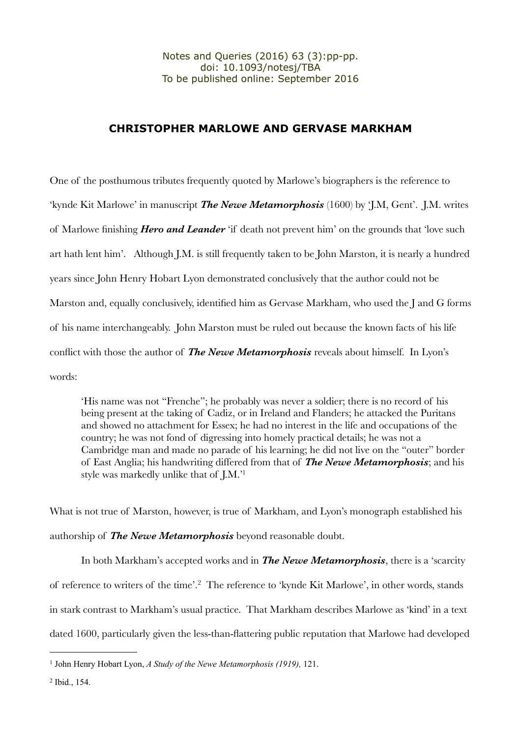## **CHRISTOPHER MARLOWE AND GERVASE MARKHAM**

One of the posthumous tributes frequently quoted by Marlowe's biographers is the reference to 'kynde Kit Marlowe' in manuscript *The Newe Metamorphosis* (1600) by 'J.M, Gent'. J.M. writes of Marlowe finishing *Hero and Leander* 'if death not prevent him' on the grounds that 'love such art hath lent him'. Although I.M. is still frequently taken to be John Marston, it is nearly a hundred years since John Henry Hobart Lyon demonstrated conclusively that the author could not be Marston and, equally conclusively, identified him as Gervase Markham, who used the J and G forms of his name interchangeably. John Marston must be ruled out because the known facts of his life conflict with those the author of *The Newe Metamorphosis* reveals about himself. In Lyon's words:

'His name was not "Frenche"; he probably was never a soldier; there is no record of his being present at the taking of Cadiz, or in Ireland and Flanders; he attacked the Puritans and showed no attachment for Essex; he had no interest in the life and occupations of the country; he was not fond of digressing into homely practical details; he was not a Cambridge man and made no parade of his learning; he did not live on the "outer" border of East Anglia; his handwriting differed from that of *The Newe Metamorphosis*; and his style was markedly unlike that of J.M.['1](#page-0-0)

What is not true of Marston, however, is true of Markham, and Lyon's monograph established his authorship of *The Newe Metamorphosis* beyond reasonable doubt.

In both Markham's accepted works and in *The Newe Metamorphosis*, there is a 'scarcity of reference to writers of the time'.[2](#page-0-1) The reference to 'kynde Kit Marlowe', in other words, stands in stark contrast to Markham's usual practice. That Markham describes Marlowe as 'kind' in a text dated 1600, particularly given the less-than-flattering public reputation that Marlowe had developed

<span id="page-0-0"></span><sup>1</sup> John Henry Hobart Lyon, *A Study of the Newe Metamorphosis (1919),* 121.

<span id="page-0-1"></span><sup>2</sup> Ibid., 154.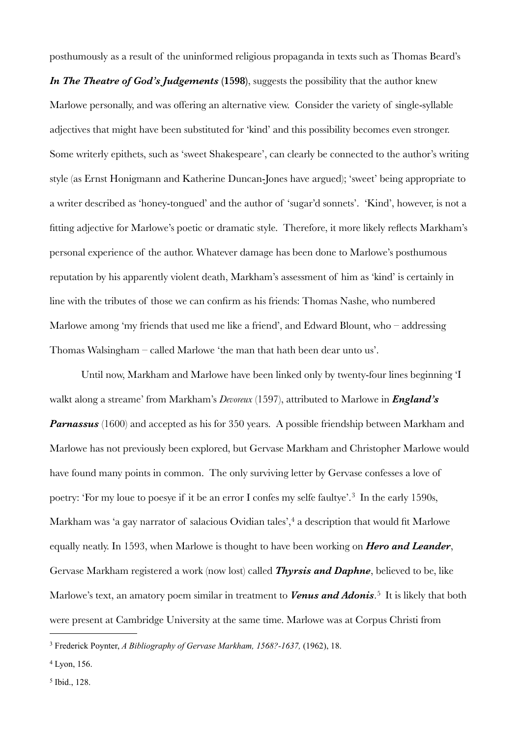posthumously as a result of the uninformed religious propaganda in texts such as Thomas Beard's

*In The Theatre of God's Judgements* (1598), suggests the possibility that the author knew Marlowe personally, and was offering an alternative view. Consider the variety of single-syllable adjectives that might have been substituted for 'kind' and this possibility becomes even stronger. Some writerly epithets, such as 'sweet Shakespeare', can clearly be connected to the author's writing style (as Ernst Honigmann and Katherine Duncan-Jones have argued); 'sweet' being appropriate to a writer described as 'honey-tongued' and the author of 'sugar'd sonnets'. 'Kind', however, is not a fitting adjective for Marlowe's poetic or dramatic style. Therefore, it more likely reflects Markham's personal experience of the author. Whatever damage has been done to Marlowe's posthumous reputation by his apparently violent death, Markham's assessment of him as 'kind' is certainly in line with the tributes of those we can confirm as his friends: Thomas Nashe, who numbered Marlowe among 'my friends that used me like a friend', and Edward Blount, who – addressing Thomas Walsingham – called Marlowe 'the man that hath been dear unto us'.

Until now, Markham and Marlowe have been linked only by twenty-four lines beginning 'I walkt along a streame' from Markham's *Devoreux* (1597), attributed to Marlowe in *England's Parnassus* (1600) and accepted as his for 350 years. A possible friendship between Markham and Marlowe has not previously been explored, but Gervase Markham and Christopher Marlowe would have found many points in common. The only surviving letter by Gervase confesses a love of poetry: 'For my loue to poesye if it be an error I confes my selfe faultye'.<sup>[3](#page-1-0)</sup> In the early 1590s, Markham was 'a gay narrator of salacious Ovidian tales',<sup>[4](#page-1-1)</sup> a description that would fit Marlowe equally neatly. In 1593, when Marlowe is thought to have been working on *Hero and Leander*, Gervase Markham registered a work (now lost) called *Thyrsis and Daphne*, believed to be, like Marlowe's text, an amatory poem similar in treatment to *Venus and Adonis*.<sup>[5](#page-1-2)</sup> It is likely that both were present at Cambridge University at the same time. Marlowe was at Corpus Christi from

<span id="page-1-1"></span>4 Lyon, 156.

<span id="page-1-0"></span><sup>3</sup> Frederick Poynter, *A Bibliography of Gervase Markham, 1568?-1637,* (1962), 18.

<span id="page-1-2"></span><sup>5</sup> Ibid., 128.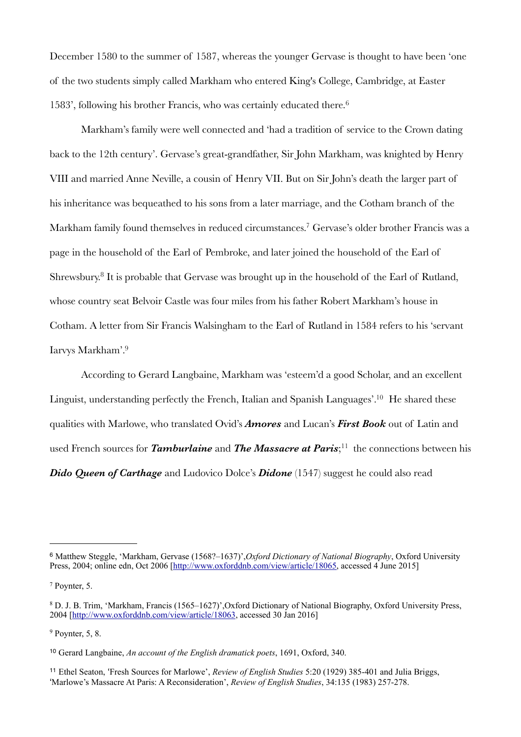December 1580 to the summer of 1587, whereas the younger Gervase is thought to have been 'one of the two students simply called Markham who entered King's College, Cambridge, at Easter 1583', following his brother Francis, who was certainly educated there.[6](#page-2-0)

Markham's family were well connected and 'had a tradition of service to the Crown dating back to the 12th century'. Gervase's great-grandfather, Sir John Markham, was knighted by Henry VIII and married Anne Neville, a cousin of Henry VII. But on Sir John's death the larger part of his inheritance was bequeathed to his sons from a later marriage, and the Cotham branch of the Markham family found themselves in reduced circumstances.[7](#page-2-1) Gervase's older brother Francis was a page in the household of the Earl of Pembroke, and later joined the household of the Earl of Shrewsbury.[8](#page-2-2) It is probable that Gervase was brought up in the household of the Earl of Rutland, whose country seat Belvoir Castle was four miles from his father Robert Markham's house in Cotham. A letter from Sir Francis Walsingham to the Earl of Rutland in 1584 refers to his 'servant Iarvys Markham'.[9](#page-2-3)

According to Gerard Langbaine, Markham was 'esteem'd a good Scholar, and an excellent Linguist, understanding perfectly the French, Italian and Spanish Languages'.<sup>10</sup> He shared these qualities with Marlowe, who translated Ovid's *Amores* and Lucan's *First Book* out of Latin and used French sources for *Tamburlaine* and *The Massacre at Paris*; [11](#page-2-5) the connections between his *Dido Queen of Carthage* and Ludovico Dolce's *Didone* (1547) suggest he could also read

<span id="page-2-3"></span> $9$  Poynter, 5, 8.

<span id="page-2-0"></span><sup>6</sup> Matthew Steggle, 'Markham, Gervase (1568?–1637)',*Oxford Dictionary of National Biography*, Oxford University Press, 2004; online edn, Oct 2006 [<http://www.oxforddnb.com/view/article/18065>, accessed 4 June 2015]

<span id="page-2-1"></span><sup>7</sup> Poynter, 5.

<span id="page-2-2"></span><sup>8</sup> D. J. B. Trim, 'Markham, Francis (1565–1627)',Oxford Dictionary of National Biography, Oxford University Press, 2004 [<http://www.oxforddnb.com/view/article/18063>, accessed 30 Jan 2016]

<span id="page-2-4"></span><sup>10</sup> Gerard Langbaine, *An account of the English dramatick poets*, 1691, Oxford, 340.

<span id="page-2-5"></span><sup>11</sup> Ethel Seaton, 'Fresh Sources for Marlowe', *Review of English Studies* 5:20 (1929) 385-401 and Julia Briggs, 'Marlowe's Massacre At Paris: A Reconsideration', *Review of English Studies*, 34:135 (1983) 257-278.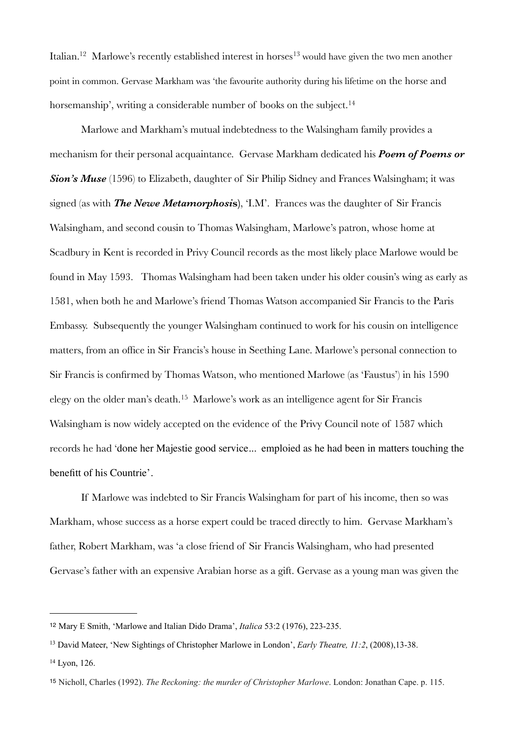Italian.<sup>12</sup> Marlowe's recently established interest in horses<sup>[13](#page-3-1)</sup> would have given the two men another point in common. Gervase Markham was 'the favourite authority during his lifetime on the horse and horsemanship', writing a considerable number of books on the subject.<sup>14</sup>

Marlowe and Markham's mutual indebtedness to the Walsingham family provides a mechanism for their personal acquaintance. Gervase Markham dedicated his *Poem of Poems or*  **Sion's Muse** (1596) to Elizabeth, daughter of Sir Philip Sidney and Frances Walsingham; it was signed (as with *The Newe Metamorphosi***s)**, 'I.M'. Frances was the daughter of Sir Francis Walsingham, and second cousin to Thomas Walsingham, Marlowe's patron, whose home at Scadbury in Kent is recorded in Privy Council records as the most likely place Marlowe would be found in May 1593. Thomas Walsingham had been taken under his older cousin's wing as early as 1581, when both he and Marlowe's friend Thomas Watson accompanied Sir Francis to the Paris Embassy. Subsequently the younger Walsingham continued to work for his cousin on intelligence matters, from an office in Sir Francis's house in Seething Lane. Marlowe's personal connection to Sir Francis is confirmed by Thomas Watson, who mentioned Marlowe (as 'Faustus') in his 1590 elegy on the older man's death.[15](#page-3-3) Marlowe's work as an intelligence agent for Sir Francis Walsingham is now widely accepted on the evidence of the Privy Council note of 1587 which records he had 'done her Majestie good service... emploied as he had been in matters touching the benefitt of his Countrie'.

 If Marlowe was indebted to Sir Francis Walsingham for part of his income, then so was Markham, whose success as a horse expert could be traced directly to him. Gervase Markham's father, Robert Markham, was 'a close friend of Sir Francis Walsingham, who had presented Gervase's father with an expensive Arabian horse as a gift. Gervase as a young man was given the

<span id="page-3-0"></span><sup>12</sup> Mary E Smith, 'Marlowe and Italian Dido Drama', *Italica* 53:2 (1976), 223-235.

<span id="page-3-1"></span><sup>13</sup> David Mateer, 'New Sightings of Christopher Marlowe in London', *Early Theatre, 11:2*, (2008),13-38.

<span id="page-3-2"></span><sup>14</sup> Lyon, 126.

<span id="page-3-3"></span><sup>15</sup> Nicholl, Charles (1992). *The Reckoning: the murder of Christopher Marlowe*. London: Jonathan Cape. p. 115.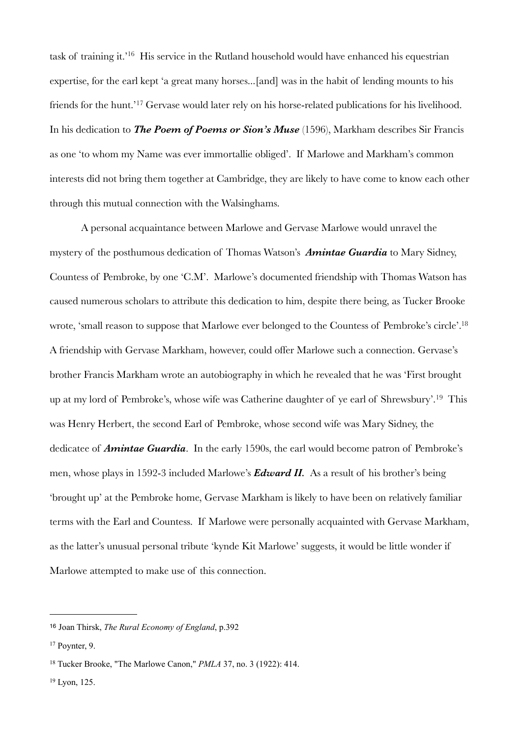task of training it.'[16](#page-4-0) His service in the Rutland household would have enhanced his equestrian expertise, for the earl kept 'a great many horses...[and] was in the habit of lending mounts to his friends for the hunt.'[17](#page-4-1) Gervase would later rely on his horse-related publications for his livelihood. In his dedication to *The Poem of Poems or Sion's Muse* (1596), Markham describes Sir Francis as one 'to whom my Name was ever immortallie obliged'. If Marlowe and Markham's common interests did not bring them together at Cambridge, they are likely to have come to know each other through this mutual connection with the Walsinghams.

A personal acquaintance between Marlowe and Gervase Marlowe would unravel the mystery of the posthumous dedication of Thomas Watson's *Amintae Guardia* to Mary Sidney, Countess of Pembroke, by one 'C.M'. Marlowe's documented friendship with Thomas Watson has caused numerous scholars to attribute this dedication to him, despite there being, as Tucker Brooke wrote, 'small reason to suppose that Marlowe ever belonged to the Countess of Pembroke's circle'[.18](#page-4-2) A friendship with Gervase Markham, however, could offer Marlowe such a connection. Gervase's brother Francis Markham wrote an autobiography in which he revealed that he was 'First brought up at my lord of Pembroke's, whose wife was Catherine daughter of ye earl of Shrewsbury'.[19](#page-4-3) This was Henry Herbert, the second Earl of Pembroke, whose second wife was Mary Sidney, the dedicatee of *Amintae Guardia*. In the early 1590s, the earl would become patron of Pembroke's men, whose plays in 1592-3 included Marlowe's *Edward II.* As a result of his brother's being 'brought up' at the Pembroke home, Gervase Markham is likely to have been on relatively familiar terms with the Earl and Countess. If Marlowe were personally acquainted with Gervase Markham, as the latter's unusual personal tribute 'kynde Kit Marlowe' suggests, it would be little wonder if Marlowe attempted to make use of this connection.

<span id="page-4-0"></span><sup>16</sup> Joan Thirsk, *The Rural Economy of England*, p.392

<span id="page-4-1"></span><sup>17</sup> Poynter, 9.

<span id="page-4-2"></span><sup>18</sup> Tucker Brooke, "The Marlowe Canon," *PMLA* 37, no. 3 (1922): 414.

<span id="page-4-3"></span><sup>19</sup> Lyon, 125.